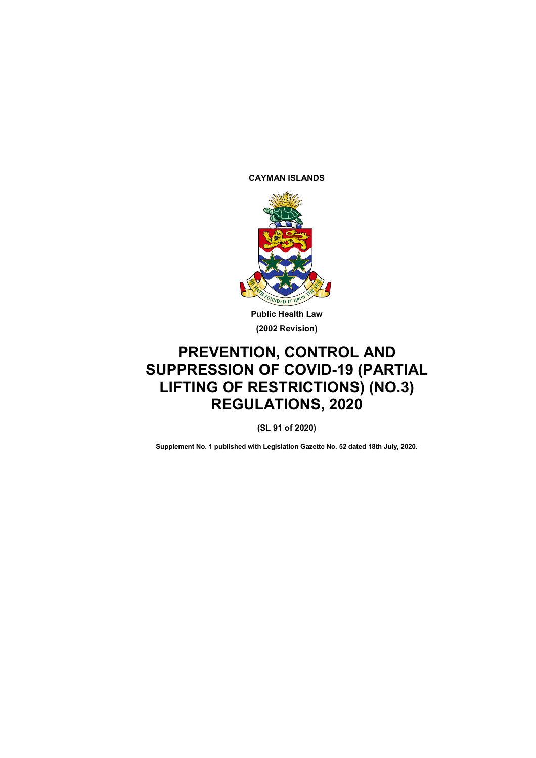**CAYMAN ISLANDS**



**Public Health Law (2002 Revision)**

# **PREVENTION, CONTROL AND SUPPRESSION OF COVID-19 (PARTIAL LIFTING OF RESTRICTIONS) (NO.3) REGULATIONS, 2020**

**(SL 91 of 2020)**

**Supplement No. 1 published with Legislation Gazette No. 52 dated 18th July, 2020.**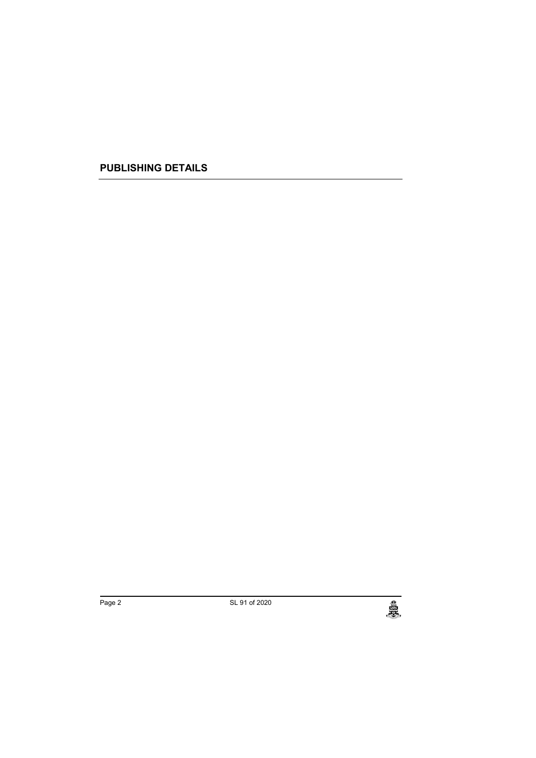**PUBLISHING DETAILS**

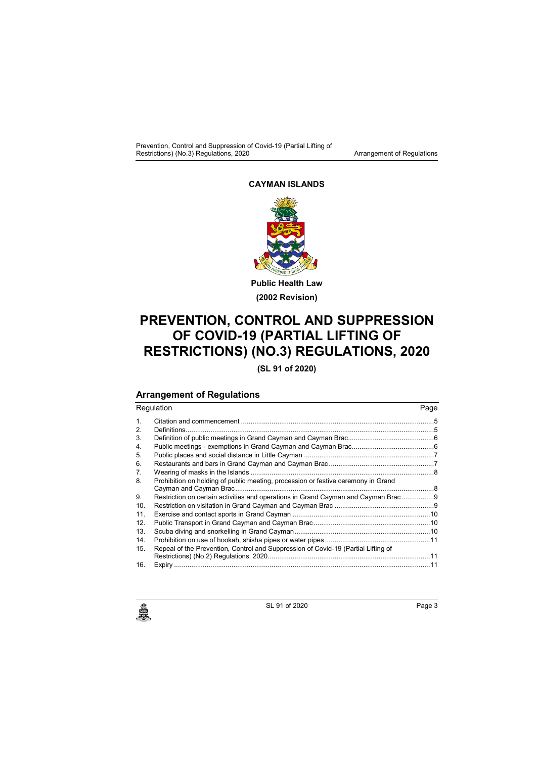#### **CAYMAN ISLANDS**



**(2002 Revision)**

## **PREVENTION, CONTROL AND SUPPRESSION OF COVID-19 (PARTIAL LIFTING OF RESTRICTIONS) (NO.3) REGULATIONS, 2020**

**(SL 91 of 2020)**

### **Arrangement of Regulations**

| Regulation |                                                                                   |  |
|------------|-----------------------------------------------------------------------------------|--|
| 1.         |                                                                                   |  |
| 2.         | Definitions                                                                       |  |
| 3.         |                                                                                   |  |
| 4.         |                                                                                   |  |
| 5.         |                                                                                   |  |
| 6.         |                                                                                   |  |
| 7.         |                                                                                   |  |
| 8.         | Prohibition on holding of public meeting, procession or festive ceremony in Grand |  |
|            |                                                                                   |  |
| 9.         | Restriction on certain activities and operations in Grand Cayman and Cayman Brac  |  |
| 10.        |                                                                                   |  |
| 11.        |                                                                                   |  |
| 12.        |                                                                                   |  |
| 13.        |                                                                                   |  |
| 14.        |                                                                                   |  |
| 15.        | Repeal of the Prevention, Control and Suppression of Covid-19 (Partial Lifting of |  |
|            |                                                                                   |  |
| 16.        |                                                                                   |  |

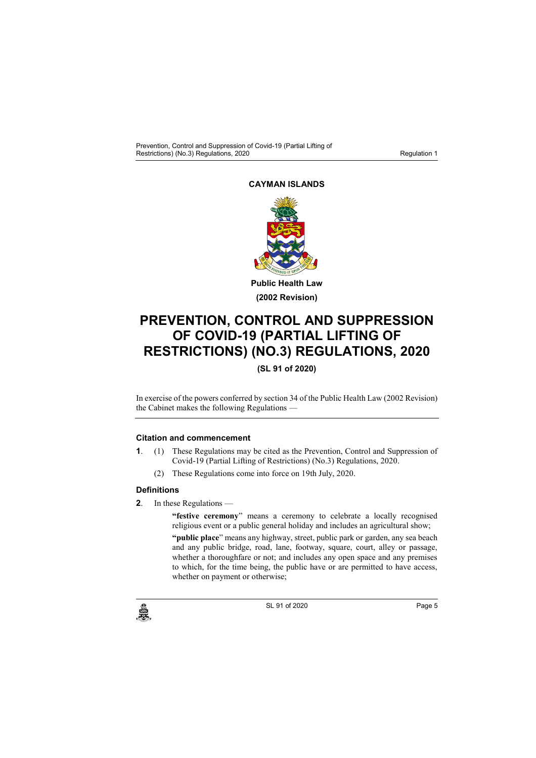### **CAYMAN ISLANDS**



**(2002 Revision)**

## **PREVENTION, CONTROL AND SUPPRESSION OF COVID-19 (PARTIAL LIFTING OF RESTRICTIONS) (NO.3) REGULATIONS, 2020**

**(SL 91 of 2020)**

In exercise of the powers conferred by section 34 of the Public Health Law (2002 Revision) the Cabinet makes the following Regulations —

#### **1. Citation and commencement**

- **1**. (1) These Regulations may be cited as the Prevention, Control and Suppression of Covid-19 (Partial Lifting of Restrictions) (No.3) Regulations, 2020.
	- (2) These Regulations come into force on 19th July, 2020.

#### **2. Definitions**

**2**. In these Regulations —

"festive ceremony" means a ceremony to celebrate a locally recognised religious event or a public general holiday and includes an agricultural show;

**"public place**" means any highway, street, public park or garden, any sea beach and any public bridge, road, lane, footway, square, court, alley or passage, whether a thoroughfare or not; and includes any open space and any premises to which, for the time being, the public have or are permitted to have access, whether on payment or otherwise;



 $SL$  91 of 2020 Page 5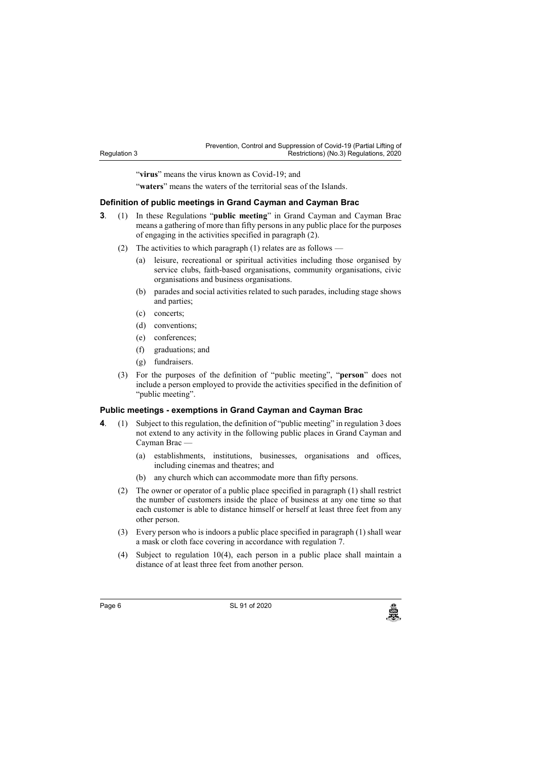| Prevention, Control and Suppression of Covid-19 (Partial Lifting of |                                        |  |  |
|---------------------------------------------------------------------|----------------------------------------|--|--|
|                                                                     | Restrictions) (No.3) Regulations, 2020 |  |  |

"virus" means the virus known as Covid-19; and

"**waters**" means the waters of the territorial seas of the Islands.

#### **3. Definition of public meetings in Grand Cayman and Cayman Brac**

- **3**. (1) In these Regulations "**public meeting**" in Grand Cayman and Cayman Brac means a gathering of more than fifty persons in any public place for the purposes of engaging in the activities specified in paragraph (2).
	- (2) The activities to which paragraph (1) relates are as follows
		- (a) leisure, recreational or spiritual activities including those organised by service clubs, faith-based organisations, community organisations, civic organisations and business organisations.
		- (b) parades and social activities related to such parades, including stage shows and parties;
		- (c) concerts;

Regulation 3

- (d) conventions;
- (e) conferences;
- (f) graduations; and
- (g) fundraisers.
- (3) For the purposes of the definition of "public meeting", "**person**" does not include a person employed to provide the activities specified in the definition of "public meeting".

#### **4. Public meetings - exemptions in Grand Cayman and Cayman Brac**

- **4**. (1) Subject to this regulation, the definition of "public meeting" in regulation 3 does not extend to any activity in the following public places in Grand Cayman and Cayman Brac —
	- (a) establishments, institutions, businesses, organisations and offices, including cinemas and theatres; and
	- (b) any church which can accommodate more than fifty persons.
	- (2) The owner or operator of a public place specified in paragraph (1) shall restrict the number of customers inside the place of business at any one time so that each customer is able to distance himself or herself at least three feet from any other person.
	- (3) Every person who is indoors a public place specified in paragraph (1) shall wear a mask or cloth face covering in accordance with regulation 7.
	- (4) Subject to regulation 10(4), each person in a public place shall maintain a distance of at least three feet from another person.

Page 6 SL 91 of 2020<br>
SL 91 of 2020<br>
SL 91 of 2020

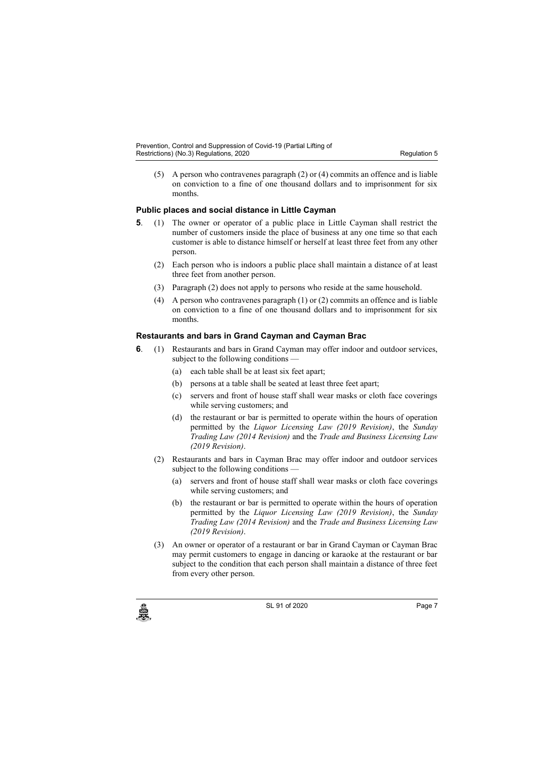(5) A person who contravenes paragraph (2) or (4) commits an offence and is liable on conviction to a fine of one thousand dollars and to imprisonment for six months.

#### **5. Public places and social distance in Little Cayman**

- **5**. (1) The owner or operator of a public place in Little Cayman shall restrict the number of customers inside the place of business at any one time so that each customer is able to distance himself or herself at least three feet from any other person.
	- (2) Each person who is indoors a public place shall maintain a distance of at least three feet from another person.
	- (3) Paragraph (2) does not apply to persons who reside at the same household.
	- (4) A person who contravenes paragraph (1) or (2) commits an offence and is liable on conviction to a fine of one thousand dollars and to imprisonment for six months.

#### **6. Restaurants and bars in Grand Cayman and Cayman Brac**

- **6**. (1) Restaurants and bars in Grand Cayman may offer indoor and outdoor services, subject to the following conditions —
	- (a) each table shall be at least six feet apart;
	- (b) persons at a table shall be seated at least three feet apart;
	- (c) servers and front of house staff shall wear masks or cloth face coverings while serving customers; and
	- (d) the restaurant or bar is permitted to operate within the hours of operation permitted by the *Liquor Licensing Law (2019 Revision)*, the *Sunday Trading Law (2014 Revision)* and the *Trade and Business Licensing Law (2019 Revision)*.
	- (2) Restaurants and bars in Cayman Brac may offer indoor and outdoor services subject to the following conditions
		- (a) servers and front of house staff shall wear masks or cloth face coverings while serving customers; and
		- (b) the restaurant or bar is permitted to operate within the hours of operation permitted by the *Liquor Licensing Law (2019 Revision)*, the *Sunday Trading Law (2014 Revision)* and the *Trade and Business Licensing Law (2019 Revision)*.
	- (3) An owner or operator of a restaurant or bar in Grand Cayman or Cayman Brac may permit customers to engage in dancing or karaoke at the restaurant or bar subject to the condition that each person shall maintain a distance of three feet from every other person.



 $SL$  91 of 2020 Page 7<br> $SL$  91 of 2020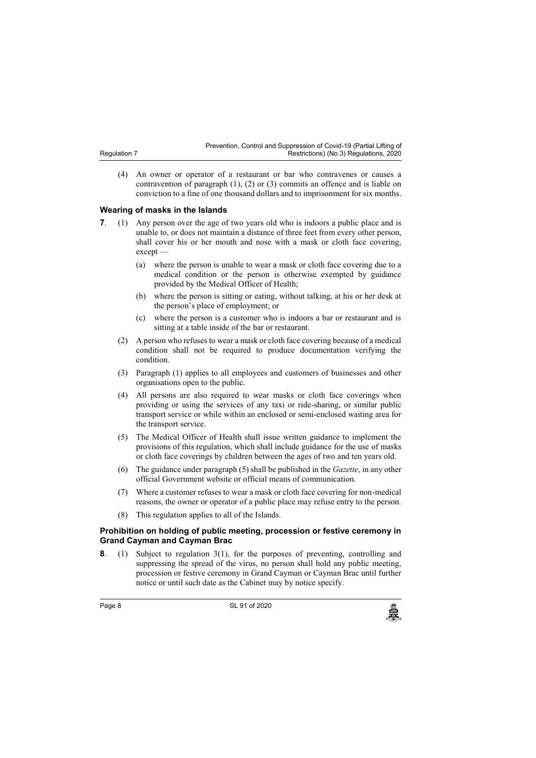(4) An owner or operator of a restaurant or bar who contravenes or causes a contravention of paragraph (1), (2) or (3) commits an offence and is liable on conviction to a fine of one thousand dollars and to imprisonment for six months.

#### **7. Wearing of masks in the Islands**

Regulation 7

- **7.** (1) Any person over the age of two years old who is indoors a public place and is unable to, or does not maintain a distance of three feet from every other person, shall cover his or her mouth and nose with a mask or cloth face covering, except —
	- (a) where the person is unable to wear a mask or cloth face covering due to a medical condition or the person is otherwise exempted by guidance provided by the Medical Officer of Health;
	- (b) where the person is sitting or eating, without talking, at his or her desk at the person's place of employment; or
	- (c) where the person is a customer who is indoors a bar or restaurant and is sitting at a table inside of the bar or restaurant.
	- (2) A person who refuses to wear a mask or cloth face covering because of a medical condition shall not be required to produce documentation verifying the condition.
	- (3) Paragraph (1) applies to all employees and customers of businesses and other organisations open to the public.
	- (4) All persons are also required to wear masks or cloth face coverings when providing or using the services of any taxi or ride-sharing, or similar public transport service or while within an enclosed or semi-enclosed waiting area for the transport service.
	- (5) The Medical Officer of Health shall issue written guidance to implement the provisions of this regulation, which shall include guidance for the use of masks or cloth face coverings by children between the ages of two and ten years old.
	- (6) The guidance under paragraph (5) shall be published in the *Gazette*, in any other official Government website or official means of communication.
	- (7) Where a customer refuses to wear a mask or cloth face covering for non-medical reasons, the owner or operator of a public place may refuse entry to the person.
	- (8) This regulation applies to all of the Islands.

#### **8. Prohibition on holding of public meeting, procession or festive ceremony in Grand Cayman and Cayman Brac**

**8**. (1) Subject to regulation 3(1), for the purposes of preventing, controlling and suppressing the spread of the virus, no person shall hold any public meeting, procession or festive ceremony in Grand Cayman or Cayman Brac until further notice or until such date as the Cabinet may by notice specify.

Page 8 **SL 91 of 2020**<br>
SL 91 of 2020<br>
SL 91 of 2020

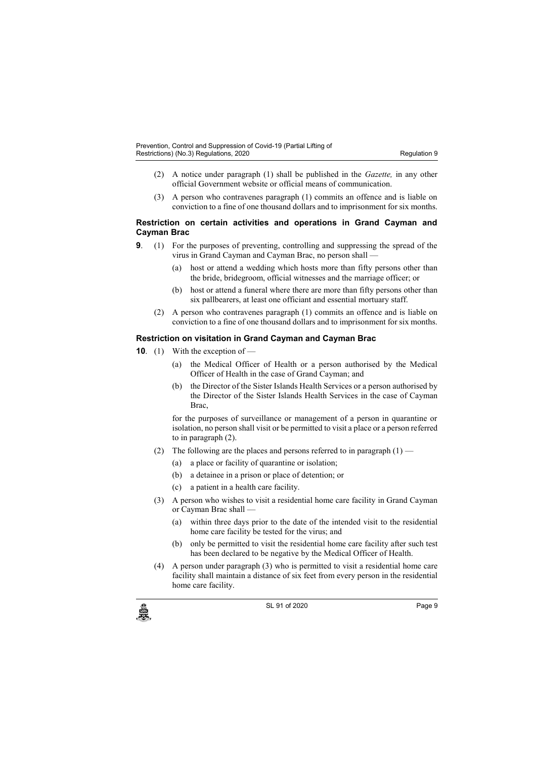- (2) A notice under paragraph (1) shall be published in the *Gazette,* in any other official Government website or official means of communication.
- (3) A person who contravenes paragraph (1) commits an offence and is liable on conviction to a fine of one thousand dollars and to imprisonment for six months.

#### **9. Restriction on certain activities and operations in Grand Cayman and Cayman Brac**

- **9**. (1) For the purposes of preventing, controlling and suppressing the spread of the virus in Grand Cayman and Cayman Brac, no person shall —
	- (a) host or attend a wedding which hosts more than fifty persons other than the bride, bridegroom, official witnesses and the marriage officer; or
	- (b) host or attend a funeral where there are more than fifty persons other than six pallbearers, at least one officiant and essential mortuary staff.
	- (2) A person who contravenes paragraph (1) commits an offence and is liable on conviction to a fine of one thousand dollars and to imprisonment for six months.

#### **10. Restriction on visitation in Grand Cayman and Cayman Brac**

- **10**. (1) With the exception of
	- (a) the Medical Officer of Health or a person authorised by the Medical Officer of Health in the case of Grand Cayman; and
	- (b) the Director of the Sister Islands Health Services or a person authorised by the Director of the Sister Islands Health Services in the case of Cayman Brac,

for the purposes of surveillance or management of a person in quarantine or isolation, no person shall visit or be permitted to visit a place or a person referred to in paragraph (2).

- (2) The following are the places and persons referred to in paragraph  $(1)$ 
	- (a) a place or facility of quarantine or isolation;
	- (b) a detainee in a prison or place of detention; or
	- (c) a patient in a health care facility.
- (3) A person who wishes to visit a residential home care facility in Grand Cayman or Cayman Brac shall —
	- (a) within three days prior to the date of the intended visit to the residential home care facility be tested for the virus; and
	- (b) only be permitted to visit the residential home care facility after such test has been declared to be negative by the Medical Officer of Health.
- (4) A person under paragraph (3) who is permitted to visit a residential home care facility shall maintain a distance of six feet from every person in the residential home care facility.



 $SL$  91 of 2020 Page 9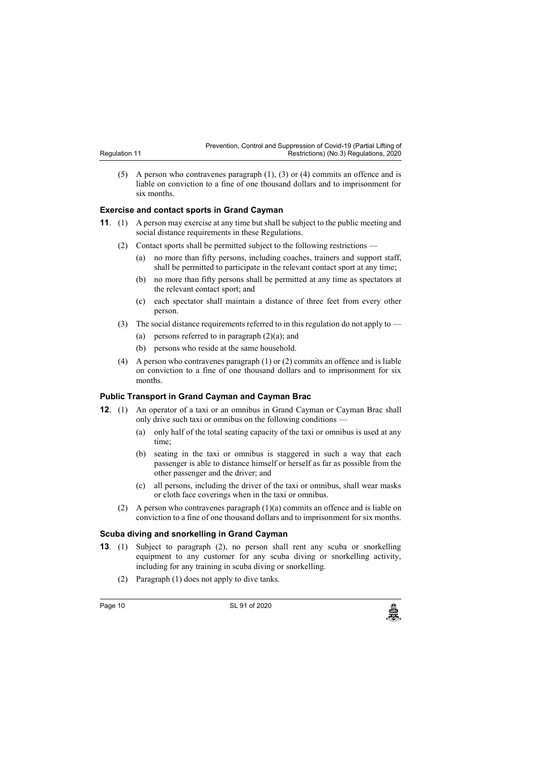| Prevention, Control and Suppression of Covid-19 (Partial Lifting of |                                        |  |
|---------------------------------------------------------------------|----------------------------------------|--|
|                                                                     | Restrictions) (No.3) Regulations, 2020 |  |

(5) A person who contravenes paragraph (1), (3) or (4) commits an offence and is liable on conviction to a fine of one thousand dollars and to imprisonment for six months.

#### **11. Exercise and contact sports in Grand Cayman**

Regulation 11

- **11**. (1) A person may exercise at any time but shall be subject to the public meeting and social distance requirements in these Regulations.
	- (2) Contact sports shall be permitted subject to the following restrictions
		- (a) no more than fifty persons, including coaches, trainers and support staff, shall be permitted to participate in the relevant contact sport at any time;
		- (b) no more than fifty persons shall be permitted at any time as spectators at the relevant contact sport; and
		- (c) each spectator shall maintain a distance of three feet from every other person.
	- (3) The social distance requirements referred to in this regulation do not apply to
		- (a) persons referred to in paragraph  $(2)(a)$ ; and
		- (b) persons who reside at the same household.
	- (4) A person who contravenes paragraph (1) or (2) commits an offence and is liable on conviction to a fine of one thousand dollars and to imprisonment for six months.

#### **12. Public Transport in Grand Cayman and Cayman Brac**

- **12**. (1) An operator of a taxi or an omnibus in Grand Cayman or Cayman Brac shall only drive such taxi or omnibus on the following conditions —
	- (a) only half of the total seating capacity of the taxi or omnibus is used at any time;
	- (b) seating in the taxi or omnibus is staggered in such a way that each passenger is able to distance himself or herself as far as possible from the other passenger and the driver; and
	- (c) all persons, including the driver of the taxi or omnibus, shall wear masks or cloth face coverings when in the taxi or omnibus.
	- (2) A person who contravenes paragraph (1)(a) commits an offence and is liable on conviction to a fine of one thousand dollars and to imprisonment for six months.

#### **13. Scuba diving and snorkelling in Grand Cayman**

- **13**. (1) Subject to paragraph (2), no person shall rent any scuba or snorkelling equipment to any customer for any scuba diving or snorkelling activity, including for any training in scuba diving or snorkelling.
	- (2) Paragraph (1) does not apply to dive tanks.

Page 10 SL 91 of 2020<br>المجلس المستشركة<br>المجلس المستشركة المستشركة المستشركة المستشركة المستشركة المستشركة المستشركة المستشركة المستشركة المستشركة الم